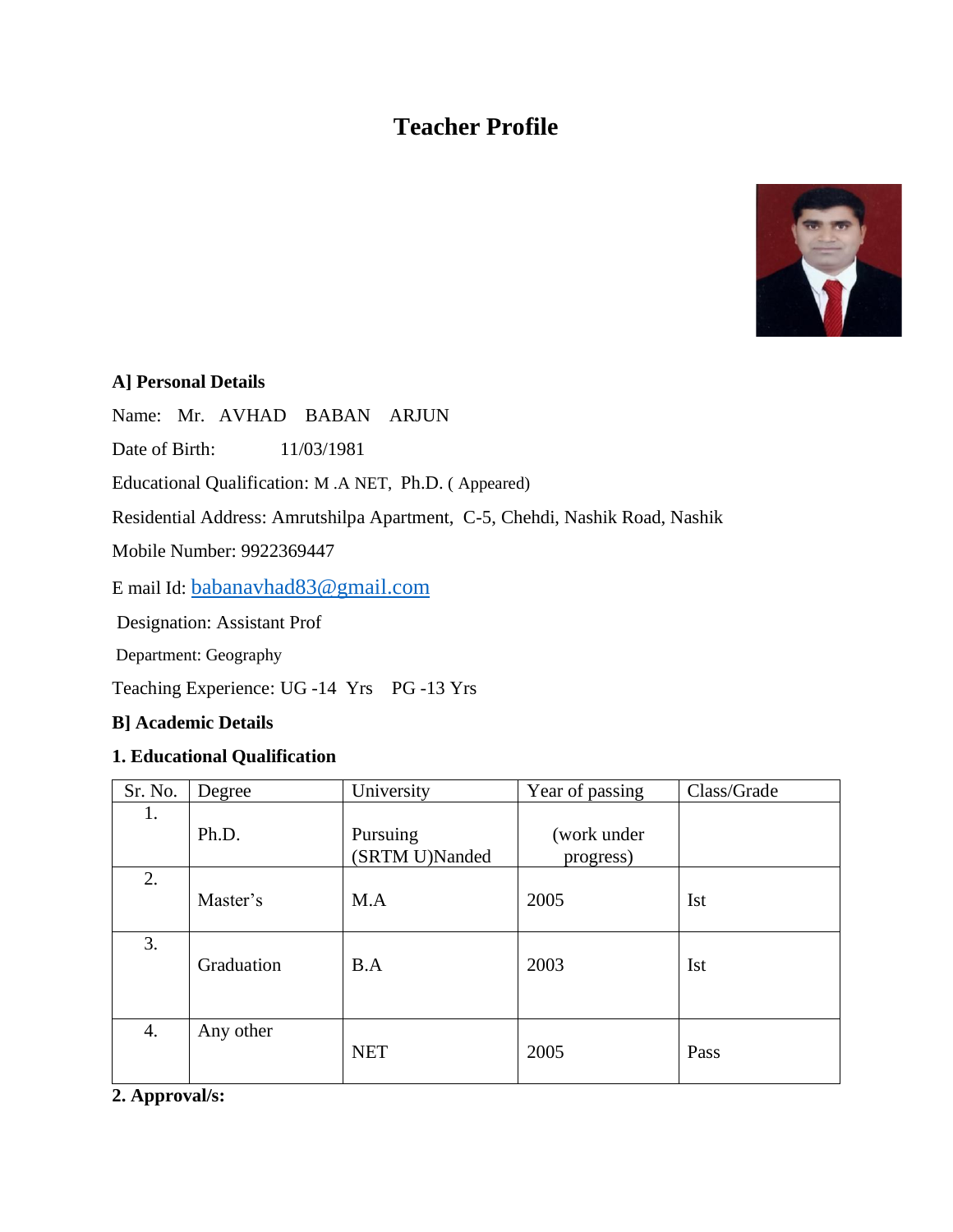# **Teacher Profile**



### **A] Personal Details**

Name: Mr. AVHAD BABAN ARJUN

Date of Birth: 11/03/1981

Educational Qualification: M .A NET, Ph.D. ( Appeared)

Residential Address: Amrutshilpa Apartment, C-5, Chehdi, Nashik Road, Nashik

Mobile Number: 9922369447

E mail Id: [babanavhad83@gmail.com](mailto:babanavhad83@gmail.com)

Designation: Assistant Prof

Department: Geography

Teaching Experience: UG -14 Yrs PG -13 Yrs

### **B] Academic Details**

#### **1. Educational Qualification**

| Sr. No. | Degree     | University                 | Year of passing          | Class/Grade |
|---------|------------|----------------------------|--------------------------|-------------|
| 1.      | Ph.D.      | Pursuing<br>(SRTM U)Nanded | (work under<br>progress) |             |
| 2.      | Master's   | M.A                        | 2005                     | <b>Ist</b>  |
| 3.      | Graduation | B.A                        | 2003                     | <b>Ist</b>  |
| 4.      | Any other  | <b>NET</b>                 | 2005                     | Pass        |

**2. Approval/s:**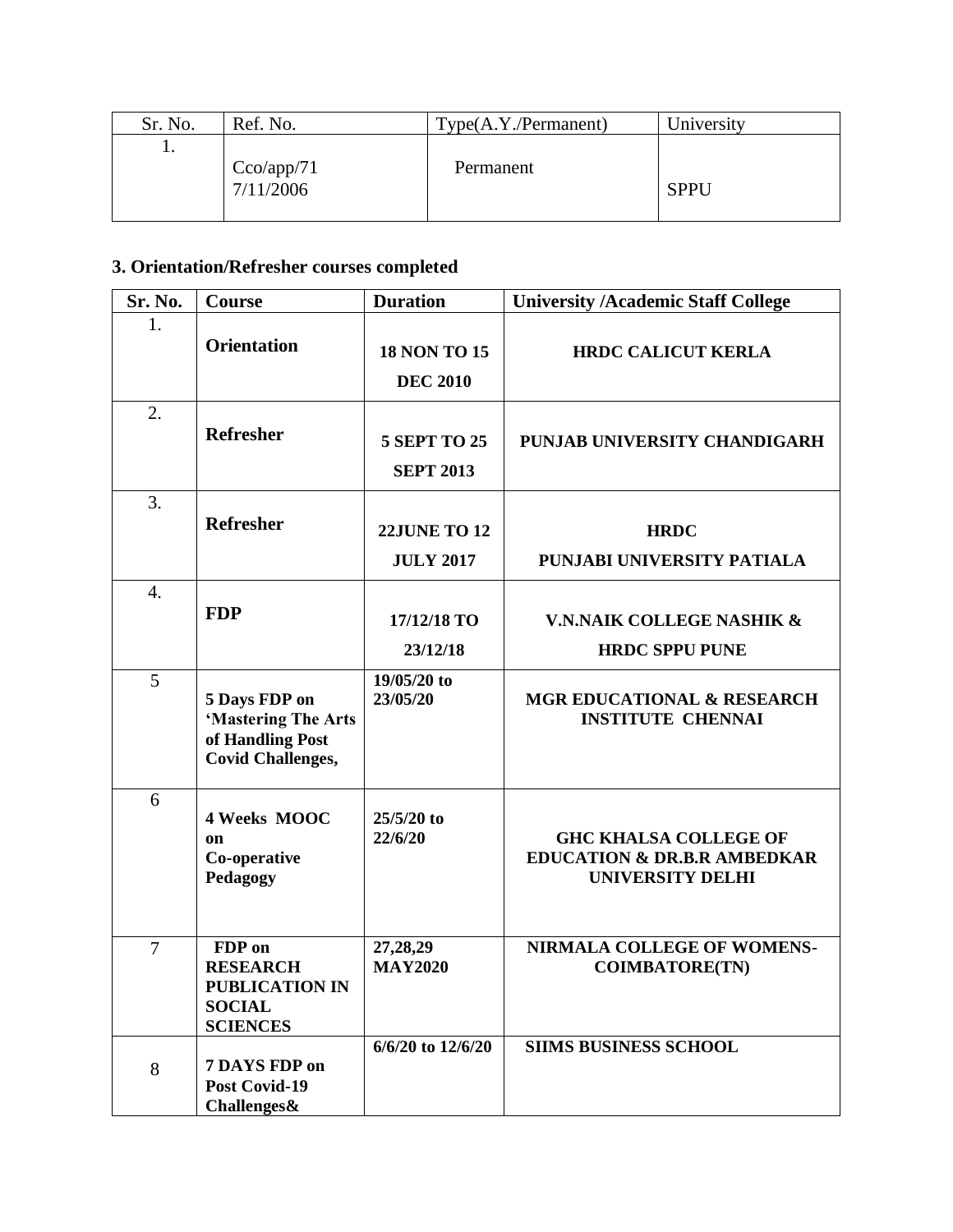| Sr. No. | Ref. No.                       | Type(A.Y./Permannent) | University  |
|---------|--------------------------------|-----------------------|-------------|
| . .     |                                |                       |             |
|         |                                | Permanent             |             |
|         | $\frac{Cco/app/71}{7/11/2006}$ |                       | <b>SPPU</b> |
|         |                                |                       |             |

# **3. Orientation/Refresher courses completed**

| Sr. No.          | Course                                                                                 | <b>Duration</b>                         | <b>University /Academic Staff College</b>                                                         |
|------------------|----------------------------------------------------------------------------------------|-----------------------------------------|---------------------------------------------------------------------------------------------------|
| 1.               | <b>Orientation</b>                                                                     | <b>18 NON TO 15</b><br><b>DEC 2010</b>  | <b>HRDC CALICUT KERLA</b>                                                                         |
| 2.               | <b>Refresher</b>                                                                       | <b>5 SEPT TO 25</b><br><b>SEPT 2013</b> | PUNJAB UNIVERSITY CHANDIGARH                                                                      |
| 3.               | <b>Refresher</b>                                                                       | <b>22JUNE TO 12</b><br><b>JULY 2017</b> | <b>HRDC</b><br>PUNJABI UNIVERSITY PATIALA                                                         |
| $\overline{4}$ . | <b>FDP</b>                                                                             | 17/12/18 TO<br>23/12/18                 | V.N.NAIK COLLEGE NASHIK &<br><b>HRDC SPPU PUNE</b>                                                |
| 5                | 5 Days FDP on<br>'Mastering The Arts<br>of Handling Post<br><b>Covid Challenges,</b>   | 19/05/20 to<br>23/05/20                 | <b>MGR EDUCATIONAL &amp; RESEARCH</b><br><b>INSTITUTE CHENNAI</b>                                 |
| 6                | 4 Weeks MOOC<br>on<br>Co-operative<br>Pedagogy                                         | 25/5/20 to<br>22/6/20                   | <b>GHC KHALSA COLLEGE OF</b><br><b>EDUCATION &amp; DR.B.R AMBEDKAR</b><br><b>UNIVERSITY DELHI</b> |
| $\overline{7}$   | FDP on<br><b>RESEARCH</b><br><b>PUBLICATION IN</b><br><b>SOCIAL</b><br><b>SCIENCES</b> | 27,28,29<br><b>MAY2020</b>              | NIRMALA COLLEGE OF WOMENS-<br><b>COIMBATORE(TN)</b>                                               |
| 8                | 7 DAYS FDP on<br>Post Covid-19<br><b>Challenges&amp;</b>                               | 6/6/20 to 12/6/20                       | <b>SIIMS BUSINESS SCHOOL</b>                                                                      |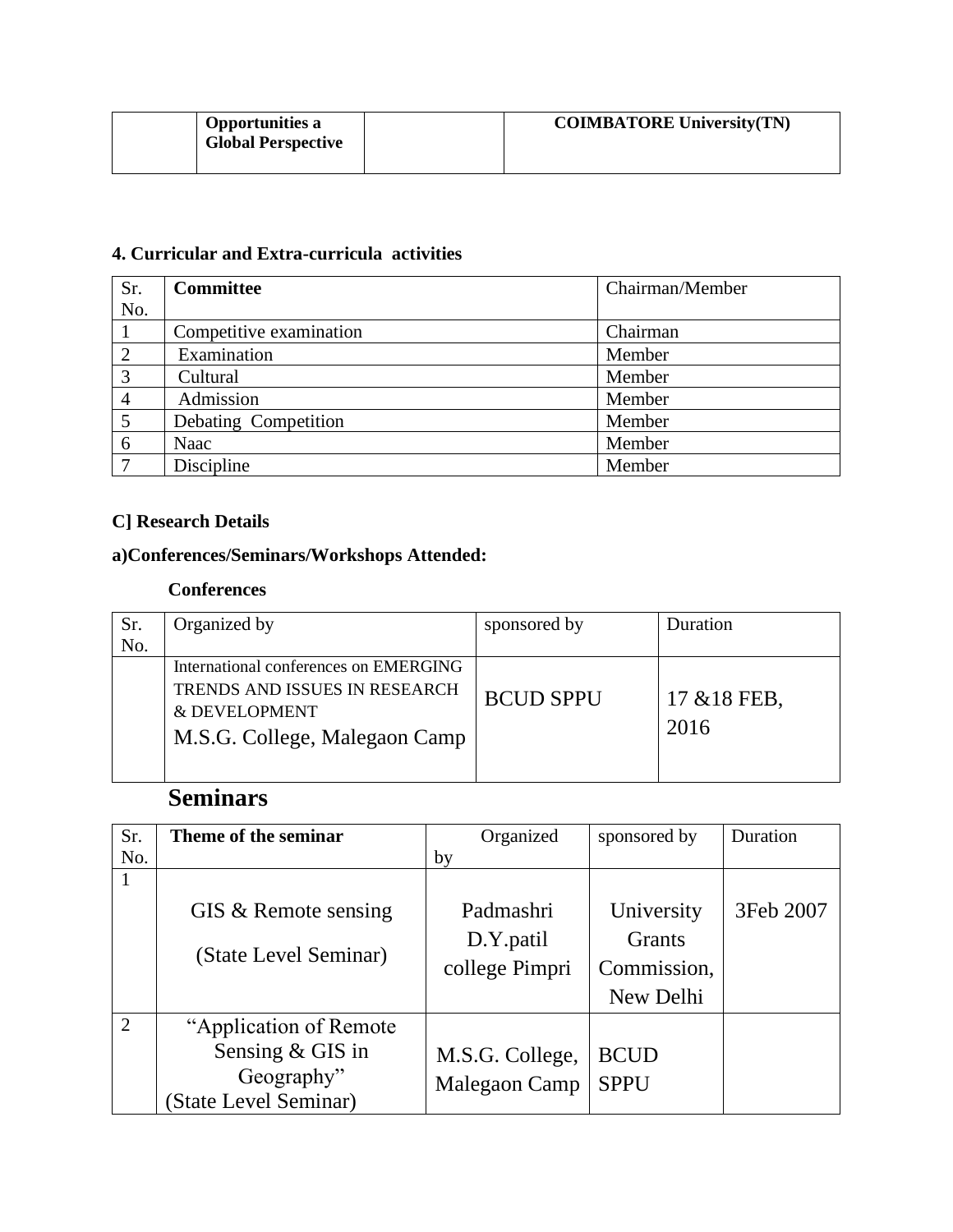| <b>Opportunities a</b><br><b>Global Perspective</b> | <b>COIMBATORE University (TN)</b> |
|-----------------------------------------------------|-----------------------------------|
|                                                     |                                   |

## **4. Curricular and Extra-curricula activities**

| Sr.            | <b>Committee</b>        | Chairman/Member |
|----------------|-------------------------|-----------------|
| No.            |                         |                 |
|                | Competitive examination | Chairman        |
| $\overline{2}$ | Examination             | Member          |
| 3              | Cultural                | Member          |
| $\overline{4}$ | Admission               | Member          |
| 5              | Debating Competition    | Member          |
| 6              | Naac                    | Member          |
| 7              | Discipline              | Member          |

### **C] Research Details**

## **a)Conferences/Seminars/Workshops Attended:**

#### **Conferences**

| Sr. | Organized by                          | sponsored by     | Duration        |
|-----|---------------------------------------|------------------|-----------------|
| No. |                                       |                  |                 |
|     | International conferences on EMERGING |                  |                 |
|     | TRENDS AND ISSUES IN RESEARCH         | <b>BCUD SPPU</b> | $17 \& 18$ FEB, |
|     | & DEVELOPMENT                         |                  |                 |
|     | M.S.G. College, Malegaon Camp         |                  | 2016            |
|     |                                       |                  |                 |

# **Seminars**

| Sr.            | Theme of the seminar    | Organized       | sponsored by  | Duration  |
|----------------|-------------------------|-----------------|---------------|-----------|
| No.            |                         | by              |               |           |
|                |                         |                 |               |           |
|                | GIS & Remote sensing    | Padmashri       | University    | 3Feb 2007 |
|                | (State Level Seminar)   | D.Y.patil       | <b>Grants</b> |           |
|                |                         | college Pimpri  | Commission,   |           |
|                |                         |                 | New Delhi     |           |
| $\overline{2}$ | "Application of Remote" |                 |               |           |
|                | Sensing & GIS in        | M.S.G. College, | <b>BCUD</b>   |           |
|                | Geography"              | Malegaon Camp   | <b>SPPU</b>   |           |
|                | (State Level Seminar)   |                 |               |           |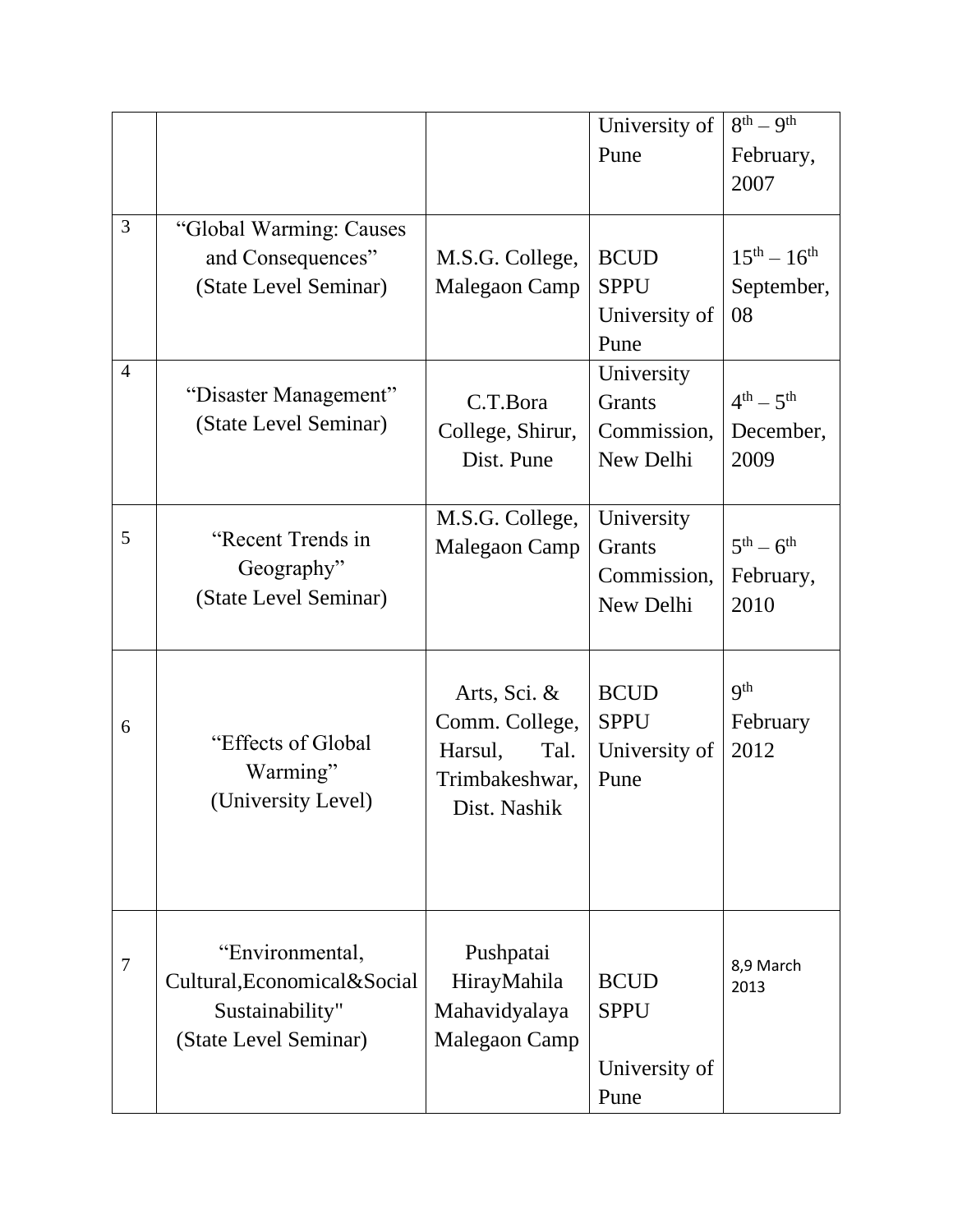|                |                               |                  | University of | $8^{th} - 9^{th}$               |
|----------------|-------------------------------|------------------|---------------|---------------------------------|
|                |                               |                  | Pune          | February,                       |
|                |                               |                  |               | 2007                            |
|                |                               |                  |               |                                 |
| 3              | "Global Warming: Causes       |                  |               |                                 |
|                | and Consequences"             | M.S.G. College,  | <b>BCUD</b>   | $15^{th} - 16^{th}$             |
|                | (State Level Seminar)         | Malegaon Camp    | <b>SPPU</b>   | September,                      |
|                |                               |                  | University of | 08                              |
|                |                               |                  | Pune          |                                 |
| $\overline{4}$ |                               |                  | University    |                                 |
|                | "Disaster Management"         | C.T.Bora         | Grants        | $4^{th} - 5^{th}$               |
|                | (State Level Seminar)         | College, Shirur, | Commission,   | December,                       |
|                |                               | Dist. Pune       | New Delhi     | 2009                            |
|                |                               |                  |               |                                 |
|                |                               | M.S.G. College,  | University    |                                 |
| 5              | "Recent Trends in             | Malegaon Camp    | Grants        | $5^{\text{th}} - 6^{\text{th}}$ |
|                | Geography"                    |                  | Commission,   | February,                       |
|                | (State Level Seminar)         |                  | New Delhi     | 2010                            |
|                |                               |                  |               |                                 |
|                |                               |                  |               |                                 |
|                |                               | Arts, Sci. &     | <b>BCUD</b>   | <b>9th</b>                      |
| 6              |                               | Comm. College,   | <b>SPPU</b>   | February                        |
|                | "Effects of Global"           | Harsul,<br>Tal.  | University of | 2012                            |
|                | Warming"                      | Trimbakeshwar,   | Pune          |                                 |
|                | (University Level)            | Dist. Nashik     |               |                                 |
|                |                               |                  |               |                                 |
|                |                               |                  |               |                                 |
|                |                               |                  |               |                                 |
|                |                               |                  |               |                                 |
| $\tau$         | "Environmental,               | Pushpatai        |               | 8,9 March                       |
|                | Cultural, Economical & Social | HirayMahila      | <b>BCUD</b>   | 2013                            |
|                | Sustainability"               | Mahavidyalaya    | <b>SPPU</b>   |                                 |
|                | (State Level Seminar)         | Malegaon Camp    |               |                                 |
|                |                               |                  | University of |                                 |
|                |                               |                  | Pune          |                                 |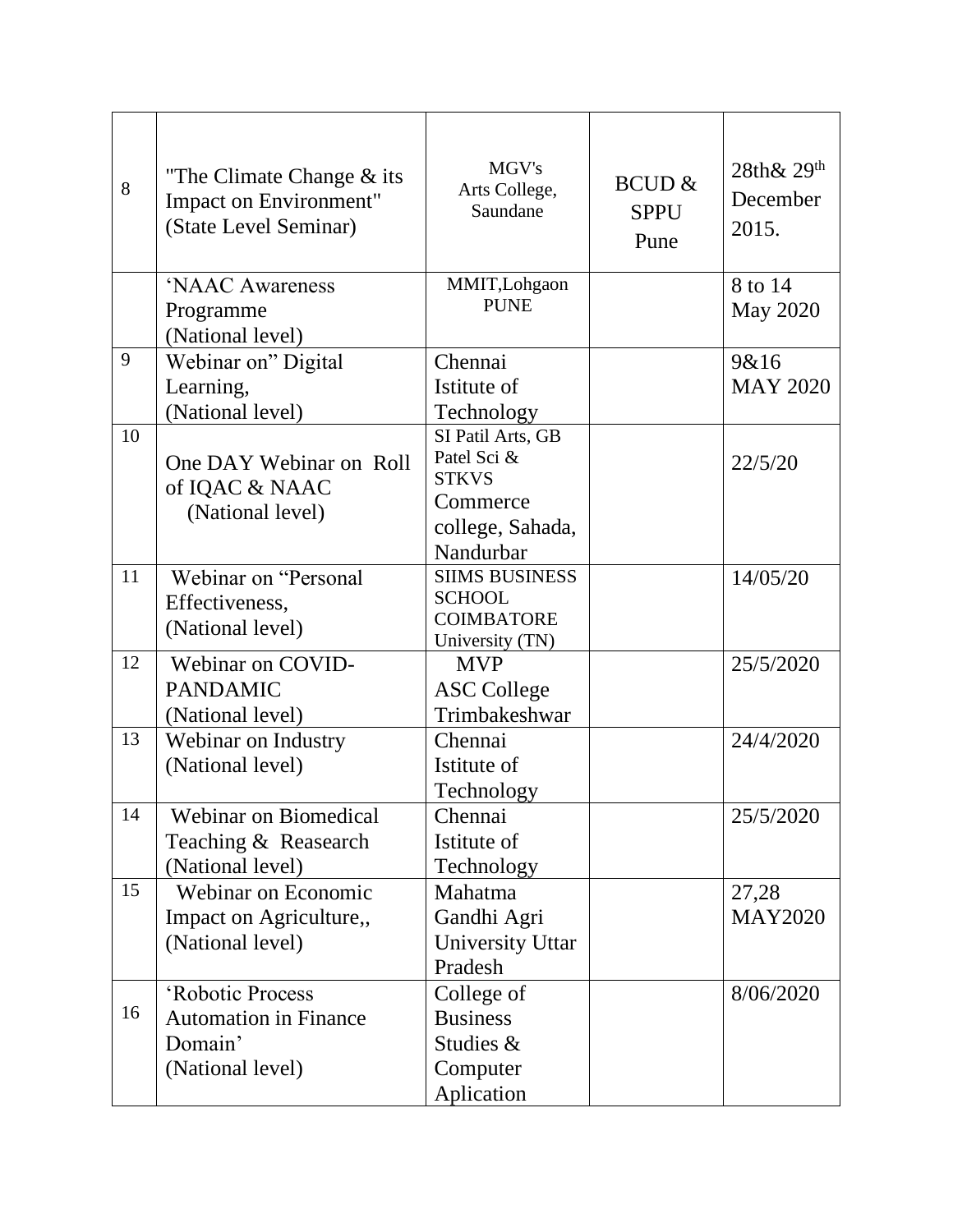| 8  | "The Climate Change $\&$ its<br>Impact on Environment"<br>(State Level Seminar) | MGV's<br>Arts College,<br>Saundane                                                            | <b>BCUD &amp;</b><br><b>SPPU</b><br>Pune | $28th\& 29th$<br>December<br>2015. |
|----|---------------------------------------------------------------------------------|-----------------------------------------------------------------------------------------------|------------------------------------------|------------------------------------|
|    | 'NAAC Awareness<br>Programme<br>(National level)                                | MMIT, Lohgaon<br><b>PUNE</b>                                                                  |                                          | 8 to 14<br><b>May 2020</b>         |
| 9  | Webinar on" Digital<br>Learning,<br>(National level)                            | Chennai<br>Istitute of<br>Technology                                                          |                                          | 9&16<br><b>MAY 2020</b>            |
| 10 | One DAY Webinar on Roll<br>of IQAC & NAAC<br>(National level)                   | SI Patil Arts, GB<br>Patel Sci &<br><b>STKVS</b><br>Commerce<br>college, Sahada,<br>Nandurbar |                                          | 22/5/20                            |
| 11 | Webinar on "Personal<br>Effectiveness,<br>(National level)                      | <b>SIIMS BUSINESS</b><br><b>SCHOOL</b><br><b>COIMBATORE</b><br>University (TN)                |                                          | 14/05/20                           |
| 12 | Webinar on COVID-<br><b>PANDAMIC</b><br>(National level)                        | <b>MVP</b><br><b>ASC College</b><br>Trimbakeshwar                                             |                                          | 25/5/2020                          |
| 13 | Webinar on Industry<br>(National level)                                         | Chennai<br>Istitute of<br>Technology                                                          |                                          | 24/4/2020                          |
| 14 | <b>Webinar on Biomedical</b><br>Teaching & Reasearch<br>(National level)        | Chennai<br>Istitute of<br>Technology                                                          |                                          | 25/5/2020                          |
| 15 | Webinar on Economic<br>Impact on Agriculture,,<br>(National level)              | Mahatma<br>Gandhi Agri<br><b>University Uttar</b><br>Pradesh                                  |                                          | 27,28<br><b>MAY2020</b>            |
| 16 | 'Robotic Process<br><b>Automation in Finance</b><br>Domain'<br>(National level) | College of<br><b>Business</b><br>Studies &<br>Computer<br>Aplication                          |                                          | 8/06/2020                          |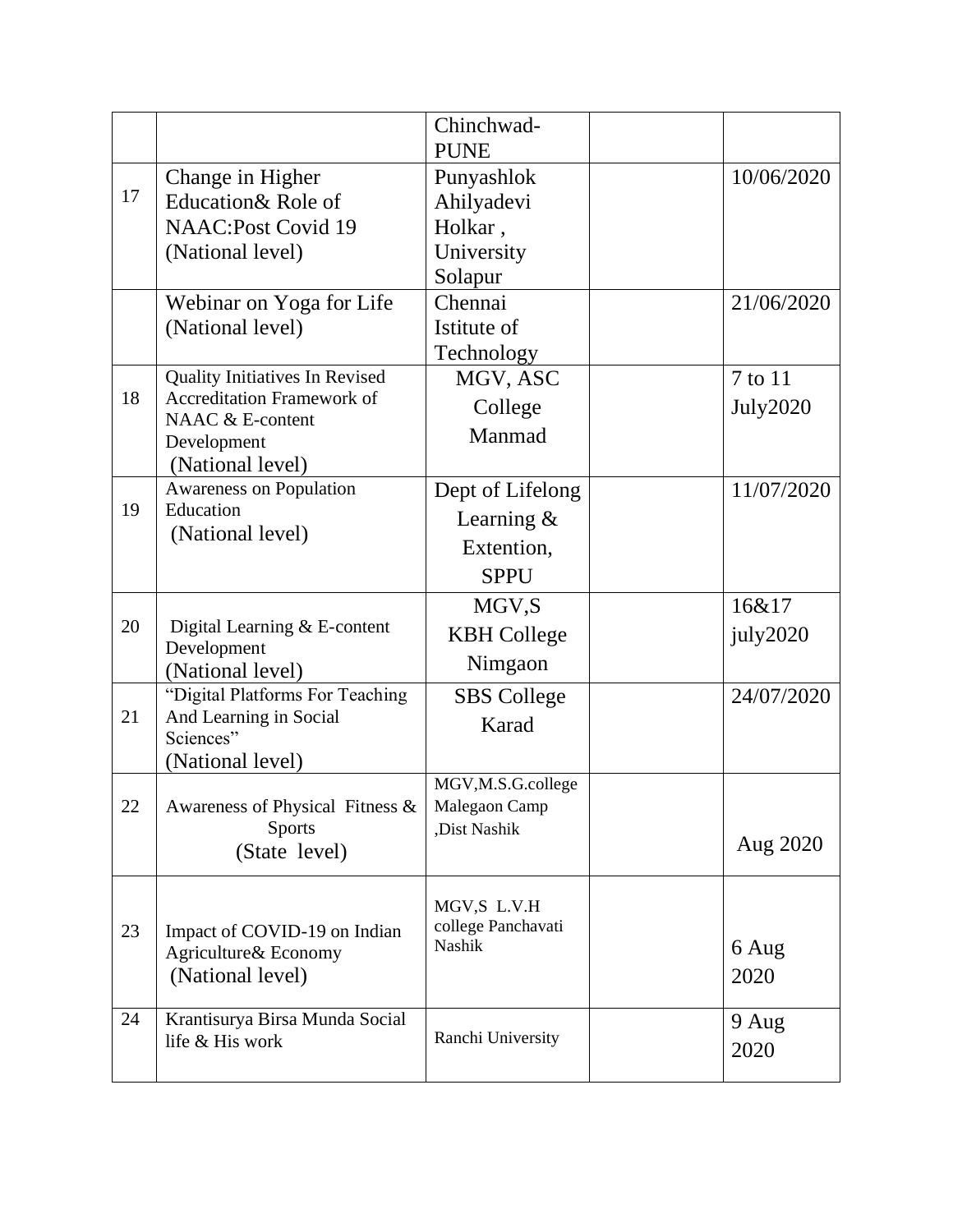|    |                                                                                                                            | Chinchwad-<br><b>PUNE</b>                                     |                            |
|----|----------------------------------------------------------------------------------------------------------------------------|---------------------------------------------------------------|----------------------------|
| 17 | Change in Higher<br>Education& Role of<br><b>NAAC:Post Covid 19</b><br>(National level)                                    | Punyashlok<br>Ahilyadevi<br>Holkar,<br>University<br>Solapur  | 10/06/2020                 |
|    | Webinar on Yoga for Life<br>(National level)                                                                               | Chennai<br>Istitute of<br>Technology                          | 21/06/2020                 |
| 18 | Quality Initiatives In Revised<br><b>Accreditation Framework of</b><br>NAAC & E-content<br>Development<br>(National level) | MGV, ASC<br>College<br>Manmad                                 | 7 to 11<br><b>July2020</b> |
| 19 | Awareness on Population<br>Education<br>(National level)                                                                   | Dept of Lifelong<br>Learning $&$<br>Extention,<br><b>SPPU</b> | 11/07/2020                 |
| 20 | Digital Learning & E-content<br>Development<br>(National level)                                                            | MGV, S<br><b>KBH</b> College<br>Nimgaon                       | 16&17<br>july2020          |
| 21 | "Digital Platforms For Teaching<br>And Learning in Social<br>Sciences"<br>(National level)                                 | <b>SBS</b> College<br>Karad                                   | 24/07/2020                 |
| 22 | Awareness of Physical Fitness &<br><b>Sports</b><br>(State level)                                                          | MGV, M.S.G.college<br>Malegaon Camp<br>,Dist Nashik           | Aug 2020                   |
| 23 | Impact of COVID-19 on Indian<br>Agriculture& Economy<br>(National level)                                                   | MGV,S L.V.H<br>college Panchavati<br>Nashik                   | 6 Aug<br>2020              |
| 24 | Krantisurya Birsa Munda Social<br>life & His work                                                                          | Ranchi University                                             | 9 Aug<br>2020              |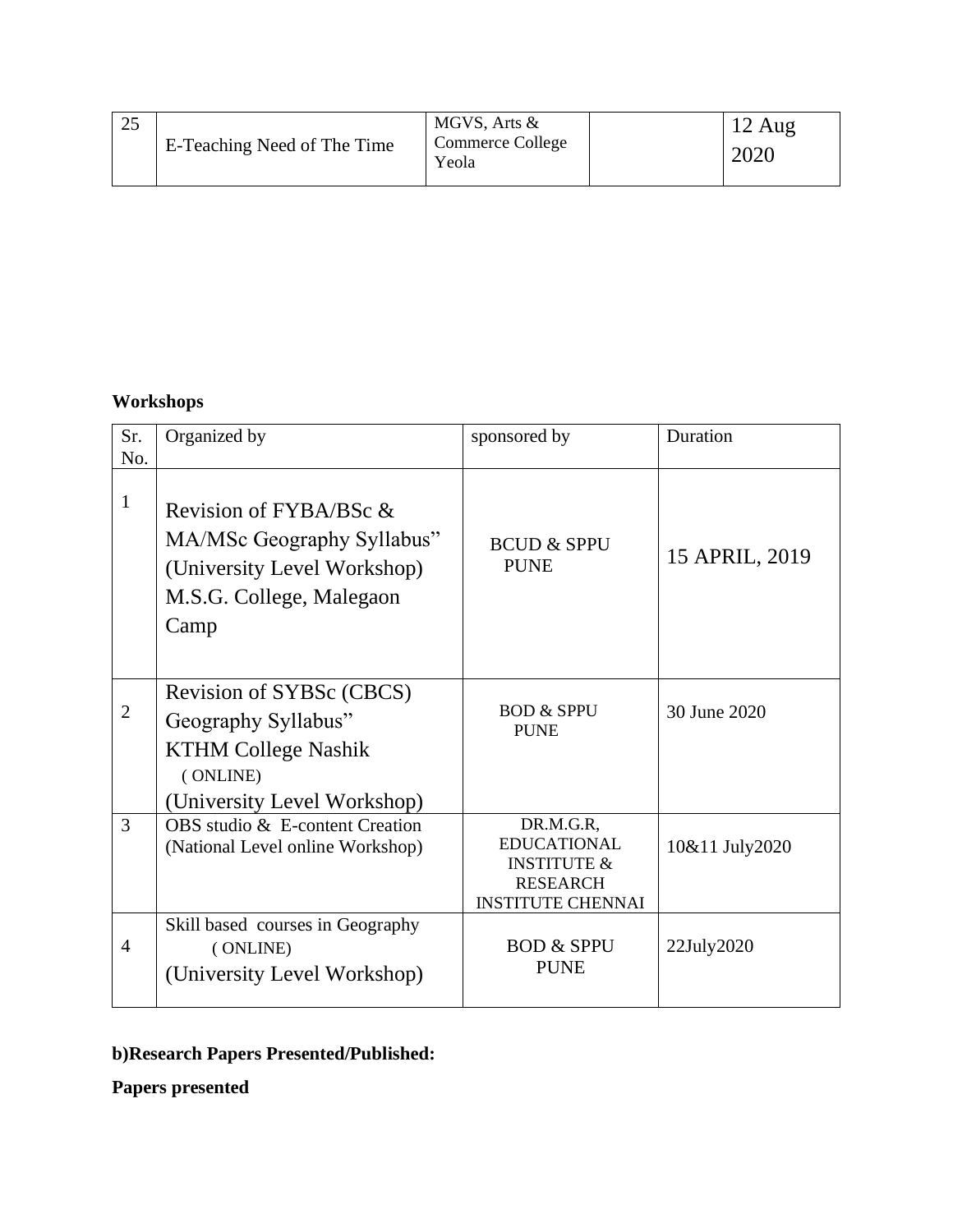| $\cap \subset$<br>رے | E-Teaching Need of The Time | MGVS, Arts &<br>Commerce College<br>Yeola |  | $12 \text{ Aug}$<br>2020 |
|----------------------|-----------------------------|-------------------------------------------|--|--------------------------|
|----------------------|-----------------------------|-------------------------------------------|--|--------------------------|

## **Workshops**

| Sr.<br>No.     | Organized by                                                                                                             | sponsored by                                                                                             | Duration         |
|----------------|--------------------------------------------------------------------------------------------------------------------------|----------------------------------------------------------------------------------------------------------|------------------|
| $\mathbf{1}$   | Revision of FYBA/BSc &<br>MA/MSc Geography Syllabus"<br>(University Level Workshop)<br>M.S.G. College, Malegaon<br>Camp  | <b>BCUD &amp; SPPU</b><br><b>PUNE</b>                                                                    | 15 APRIL, 2019   |
| $\overline{2}$ | Revision of SYBSc (CBCS)<br>Geography Syllabus"<br><b>KTHM College Nashik</b><br>(ONLINE)<br>(University Level Workshop) | <b>BOD &amp; SPPU</b><br><b>PUNE</b>                                                                     | 30 June 2020     |
| 3              | OBS studio & E-content Creation<br>(National Level online Workshop)                                                      | DR.M.G.R,<br><b>EDUCATIONAL</b><br><b>INSTITUTE &amp;</b><br><b>RESEARCH</b><br><b>INSTITUTE CHENNAI</b> | 10&11 July2020   |
| $\overline{4}$ | Skill based courses in Geography<br>(ONLINE)<br>(University Level Workshop)                                              | <b>BOD &amp; SPPU</b><br><b>PUNE</b>                                                                     | $22$ July $2020$ |

# **b)Research Papers Presented/Published:**

**Papers presented**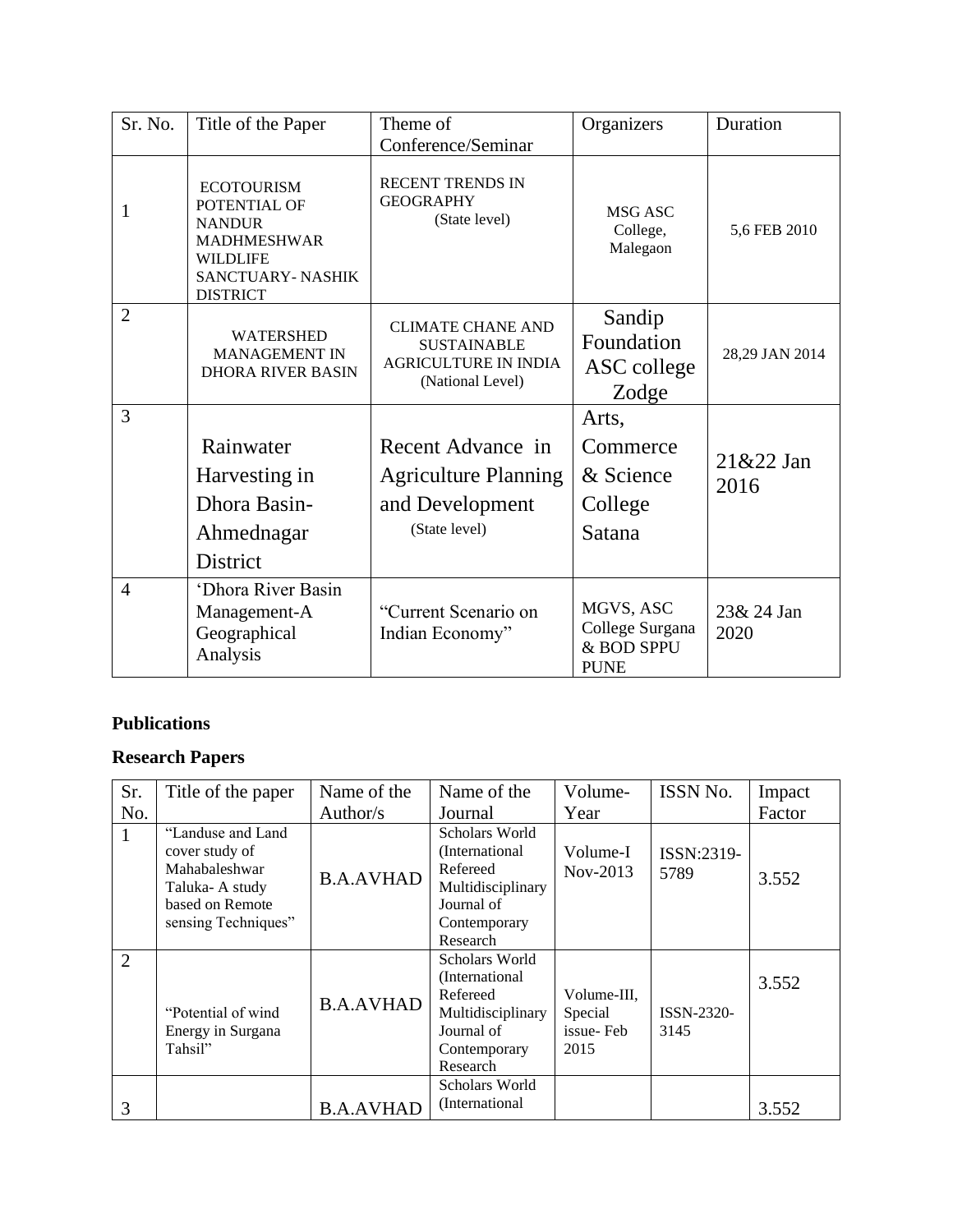| Sr. No.        | Title of the Paper                                                                                                                        | Theme of<br>Conference/Seminar                                                                    | Organizers                                                | Duration            |
|----------------|-------------------------------------------------------------------------------------------------------------------------------------------|---------------------------------------------------------------------------------------------------|-----------------------------------------------------------|---------------------|
| 1              | <b>ECOTOURISM</b><br>POTENTIAL OF<br><b>NANDUR</b><br><b>MADHMESHWAR</b><br><b>WILDLIFE</b><br><b>SANCTUARY-NASHIK</b><br><b>DISTRICT</b> | <b>RECENT TRENDS IN</b><br><b>GEOGRAPHY</b><br>(State level)                                      | MSG ASC<br>College,<br>Malegaon                           | 5,6 FEB 2010        |
| $\overline{2}$ | <b>WATERSHED</b><br><b>MANAGEMENT IN</b><br><b>DHORA RIVER BASIN</b>                                                                      | <b>CLIMATE CHANE AND</b><br><b>SUSTAINABLE</b><br><b>AGRICULTURE IN INDIA</b><br>(National Level) | Sandip<br>Foundation<br>ASC college<br>Zodge              | 28,29 JAN 2014      |
| 3              | Rainwater<br>Harvesting in<br>Dhora Basin-<br>Ahmednagar<br>District                                                                      | Recent Advance in<br><b>Agriculture Planning</b><br>and Development<br>(State level)              | Arts,<br>Commerce<br>& Science<br>College<br>Satana       | $21&22$ Jan<br>2016 |
| $\overline{4}$ | 'Dhora River Basin<br>Management-A<br>Geographical<br>Analysis                                                                            | "Current Scenario on<br>Indian Economy"                                                           | MGVS, ASC<br>College Surgana<br>& BOD SPPU<br><b>PUNE</b> | 23& 24 Jan<br>2020  |

## **Publications**

# **Research Papers**

| Sr. | Title of the paper                                                                                               | Name of the      | Name of the                                                                                                  | Volume-                                     | ISSN No.           | Impact |
|-----|------------------------------------------------------------------------------------------------------------------|------------------|--------------------------------------------------------------------------------------------------------------|---------------------------------------------|--------------------|--------|
| No. |                                                                                                                  | Author/s         | Journal                                                                                                      | Year                                        |                    | Factor |
| 1   | "Landuse and Land<br>cover study of<br>Mahabaleshwar<br>Taluka-A study<br>based on Remote<br>sensing Techniques" | <b>B.A.AVHAD</b> | Scholars World<br>(International)<br>Refereed<br>Multidisciplinary<br>Journal of<br>Contemporary<br>Research | Volume-I<br>Nov-2013                        | ISSN:2319-<br>5789 | 3.552  |
| 2   | "Potential of wind"<br>Energy in Surgana<br>Tahsil"                                                              | <b>B.A.AVHAD</b> | Scholars World<br>(International)<br>Refereed<br>Multidisciplinary<br>Journal of<br>Contemporary<br>Research | Volume-III,<br>Special<br>issue-Feb<br>2015 | ISSN-2320-<br>3145 | 3.552  |
| 3   |                                                                                                                  | <b>B.A.AVHAD</b> | Scholars World<br>(International)                                                                            |                                             |                    | 3.552  |